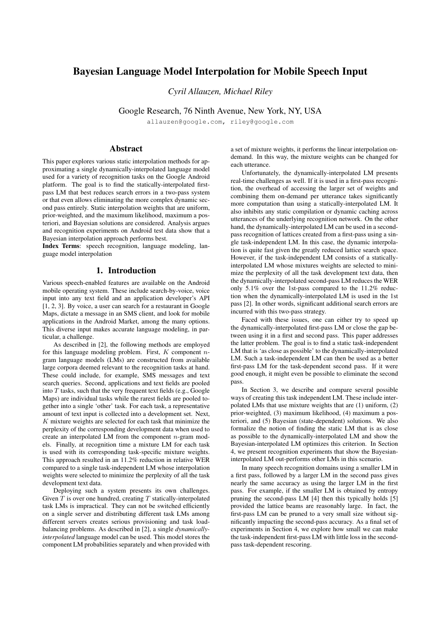# **Bayesian Language Model Interpolation for Mobile Speech Input**

*Cyril Allauzen, Michael Riley*

Google Research, 76 Ninth Avenue, New York, NY, USA

allauzen@google.com, riley@google.com

## **Abstract**

This paper explores various static interpolation methods for approximating a single dynamically-interpolated language model used for a variety of recognition tasks on the Google Android platform. The goal is to find the statically-interpolated firstpass LM that best reduces search errors in a two-pass system or that even allows eliminating the more complex dynamic second pass entirely. Static interpolation weights that are uniform, prior-weighted, and the maximum likelihood, maximum a posteriori, and Bayesian solutions are considered. Analysis argues and recognition experiments on Android test data show that a Bayesian interpolation approach performs best.

**Index Terms**: speech recognition, language modeling, language model interpolation

## **1. Introduction**

Various speech-enabled features are available on the Android mobile operating system. These include search-by-voice, voice input into any text field and an application developer's API [1, 2, 3]. By voice, a user can search for a restaurant in Google Maps, dictate a message in an SMS client, and look for mobile applications in the Android Market, among the many options. This diverse input makes accurate language modeling, in particular, a challenge.

As described in [2], the following methods are employed for this language modeling problem. First,  $K$  component  $n$ gram language models (LMs) are constructed from available large corpora deemed relevant to the recognition tasks at hand. These could include, for example, SMS messages and text search queries. Second, applications and text fields are pooled into  $T$  tasks, such that the very frequent text fields (e.g., Google Maps) are individual tasks while the rarest fields are pooled together into a single 'other' task. For each task, a representative amount of text input is collected into a development set. Next,  $K$  mixture weights are selected for each task that minimize the perplexity of the corresponding development data when used to create an interpolated LM from the component  $n$ -gram models. Finally, at recognition time a mixture LM for each task is used with its corresponding task-specific mixture weights. This approach resulted in an 11.2% reduction in relative WER compared to a single task-independent LM whose interpolation weights were selected to minimize the perplexity of all the task development text data.

Deploying such a system presents its own challenges. Given  $T$  is over one hundred, creating  $T$  statically-interpolated task LMs is impractical. They can not be switched efficiently on a single server and distributing different task LMs among different servers creates serious provisioning and task loadbalancing problems. As described in [2], a single *dynamicallyinterpolated* language model can be used. This model stores the component LM probabilities separately and when provided with a set of mixture weights, it performs the linear interpolation ondemand. In this way, the mixture weights can be changed for each utterance.

Unfortunately, the dynamically-interpolated LM presents real-time challenges as well. If it is used in a first-pass recognition, the overhead of accessing the larger set of weights and combining them on-demand per utterance takes significantly more computation than using a statically-interpolated LM. It also inhibits any static compilation or dynamic caching across utterances of the underlying recognition network. On the other hand, the dynamically-interpolated LM can be used in a secondpass recognition of lattices created from a first-pass using a single task-independent LM. In this case, the dynamic interpolation is quite fast given the greatly reduced lattice search space. However, if the task-independent LM consists of a staticallyinterpolated LM whose mixtures weights are selected to minimize the perplexity of all the task development text data, then the dynamically-interpolated second-pass LM reduces the WER only 5.1% over the 1st-pass compared to the 11.2% reduction when the dynamically-interpolated LM is used in the 1st pass [2]. In other words, significant additional search errors are incurred with this two-pass strategy.

Faced with these issues, one can either try to speed up the dynamically-interpolated first-pass LM or close the gap between using it in a first and second pass. This paper addresses the latter problem. The goal is to find a static task-independent LM that is 'as close as possible' to the dynamically-interpolated LM. Such a task-independent LM can then be used as a better first-pass LM for the task-dependent second pass. If it were good enough, it might even be possible to eliminate the second pass.

In Section 3, we describe and compare several possible ways of creating this task independent LM. These include interpolated LMs that use mixture weights that are (1) uniform, (2) prior-weighted, (3) maximum likelihood, (4) maximum a posteriori, and (5) Bayesian (state-dependent) solutions. We also formalize the notion of finding the static LM that is as close as possible to the dynamically-interpolated LM and show the Bayesian-interpolated LM optimizes this criterion. In Section 4, we present recognition experiments that show the Bayesianinterpolated LM out-performs other LMs in this scenario.

In many speech recognition domains using a smaller LM in a first pass, followed by a larger LM in the second pass gives nearly the same accuracy as using the larger LM in the first pass. For example, if the smaller LM is obtained by entropy pruning the second-pass LM [4] then this typically holds [5] provided the lattice beams are reasonably large. In fact, the first-pass LM can be pruned to a very small size without significantly impacting the second-pass accuracy. As a final set of experiments in Section 4, we explore how small we can make the task-independent first-pass LM with little loss in the secondpass task-dependent rescoring.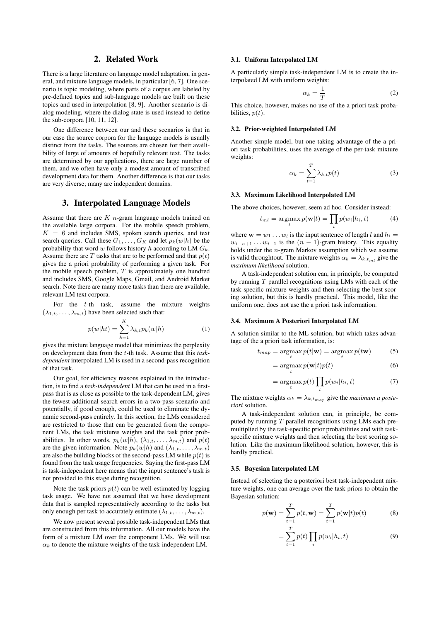## **2. Related Work**

There is a large literature on language model adaptation, in general, and mixture language models, in particular [6, 7]. One scenario is topic modeling, where parts of a corpus are labeled by pre-defined topics and sub-language models are built on these topics and used in interpolation [8, 9]. Another scenario is dialog modeling, where the dialog state is used instead to define the sub-corpora [10, 11, 12].

One difference between our and these scenarios is that in our case the source corpora for the language models is usually distinct from the tasks. The sources are chosen for their availibility of large of amounts of hopefully relevant text. The tasks are determined by our applications, there are large number of them, and we often have only a modest amount of transcribed development data for them. Another difference is that our tasks are very diverse; many are independent domains.

## **3. Interpolated Language Models**

Assume that there are  $K$  *n*-gram language models trained on the available large corpora. For the mobile speech problem,  $K = 6$  and includes SMS, spoken search queries, and text search queries. Call these  $G_1, \ldots, G_K$  and let  $p_k(w|h)$  be the probability that word w follows history h according to LM  $G_k$ . Assume there are T tasks that are to be performed and that  $p(t)$ gives the a priori probability of performing a given task. For the mobile speech problem,  $T$  is approximately one hundred and includes SMS, Google Maps, Gmail, and Android Market search. Note there are many more tasks than there are available, relevant LM text corpora.

For the  $t$ -th task, assume the mixture weights  $(\lambda_{1,t}, \ldots, \lambda_{m,t})$  have been selected such that:

$$
p(w|ht) = \sum_{k=1}^{K} \lambda_{k,t} p_k(w|h)
$$
 (1)

gives the mixture language model that minimizes the perplexity on development data from the t-th task. Assume that this *taskdependent* interpolated LM is used in a second-pass recognition of that task.

Our goal, for efficiency reasons explained in the introduction, is to find a *task-independent* LM that can be used in a firstpass that is as close as possible to the task-dependent LM, gives the fewest additional search errors in a two-pass scenario and potentially, if good enough, could be used to eliminate the dynamic second-pass entirely. In this section, the LMs considered are restricted to those that can be generated from the component LMs, the task mixtures weights and the task prior probabilities. In other words,  $p_k(w|h)$ ,  $(\lambda_{1,t}, \ldots, \lambda_{m,t})$  and  $p(t)$ are the given information. Note  $p_k(w|h)$  and  $(\lambda_{1,t}, \ldots, \lambda_{m,t})$ are also the building blocks of the second-pass LM while  $p(t)$  is found from the task usage frequencies. Saying the first-pass LM is task-independent here means that the input sentence's task is not provided to this stage during recognition.

Note the task priors  $p(t)$  can be well-estimated by logging task usage. We have not assumed that we have development data that is sampled representatively according to the tasks but only enough per task to accurately estimate  $(\lambda_{1,t}, \dots, \lambda_{m,t})$ .

We now present several possible task-independent LMs that are constructed from this information. All our models have the form of a mixture LM over the component LMs. We will use  $\alpha_k$  to denote the mixture weights of the task-independent LM.

## **3.1. Uniform Interpolated LM**

A particularly simple task-independent LM is to create the interpolated LM with uniform weights:

$$
\alpha_k = \frac{1}{T} \tag{2}
$$

This choice, however, makes no use of the a priori task probabilities,  $p(t)$ .

## **3.2. Prior-weighted Interpolated LM**

Another simple model, but one taking advantage of the a priori task probabilities, uses the average of the per-task mixture weights:

$$
\alpha_k = \sum_{t=1}^T \lambda_{k,t} p(t) \tag{3}
$$

#### **3.3. Maximum Likelihood Interpolated LM**

The above choices, however, seem ad hoc. Consider instead:

$$
t_{ml} = \operatorname*{argmax}_{t} p(\mathbf{w}|t) = \prod_{i} p(w_i|h_i, t)
$$
 (4)

where  $\mathbf{w} = w_1 \dots w_l$  is the input sentence of length l and  $h_i =$  $w_{i-n+1} \dots w_{i-1}$  is the  $(n-1)$ -gram history. This equality holds under the n-gram Markov assumption which we assume is valid throughtout. The mixture weights  $\alpha_k = \lambda_{k,t_m}$  give the *maximum likelihood* solution.

A task-independent solution can, in principle, be computed by running  $T$  parallel recognitions using LMs with each of the task-specific mixture weights and then selecting the best scoring solution, but this is hardly practical. This model, like the uniform one, does not use the a priori task information.

#### **3.4. Maximum A Posteriori Interpolated LM**

A solution similar to the ML solution, but which takes advantage of the a priori task information, is:

$$
t_{map} = \operatorname*{argmax}_{t} p(t|\mathbf{w}) = \operatorname*{argmax}_{t} p(t\mathbf{w})
$$
 (5)

$$
= \underset{t}{\operatorname{argmax}} p(\mathbf{w}|t) p(t) \tag{6}
$$

$$
= \operatorname*{argmax}_{t} p(t) \prod_{i} p(w_i | h_i, t)
$$
\n(7)

The mixture weights  $\alpha_k = \lambda_{k,t_{max}}$  give the *maximum a posteriori* solution.

A task-independent solution can, in principle, be computed by running  $T$  parallel recognitions using LMs each premultiplied by the task-specific prior probabilities and with taskspecific mixture weights and then selecting the best scoring solution. Like the maximum likelihood solution, however, this is hardly practical.

#### **3.5. Bayesian Interpolated LM**

Instead of selecting the a posteriori best task-independent mixture weights, one can average over the task priors to obtain the Bayesian solution:

$$
p(\mathbf{w}) = \sum_{t=1}^{T} p(t, \mathbf{w}) = \sum_{t=1}^{T} p(\mathbf{w}|t) p(t)
$$
 (8)

$$
=\sum_{t=1}^{T}p(t)\prod_{i}p(w_{i}|h_{i},t)
$$
\n(9)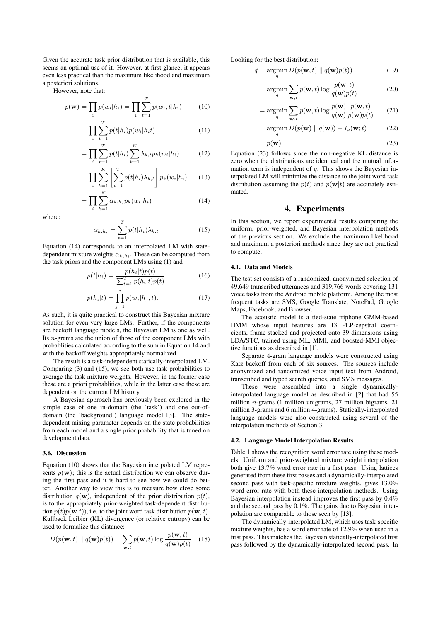Given the accurate task prior distribution that is available, this seems an optimal use of it. However, at first glance, it appears even less practical than the maximum likelihood and maximum a posteriori solutions.

However, note that:

$$
p(\mathbf{w}) = \prod_{i} p(w_i | h_i) = \prod_{i} \sum_{t=1}^{T} p(w_i, t | h_i)
$$
 (10)

$$
=\prod_{i}\sum_{t=1}^{T}p(t|h_i)p(w_i|h_i t)
$$
\n(11)

$$
= \prod_{i} \sum_{t=1}^{T} p(t|h_i) \sum_{k=1}^{K} \lambda_{k,t} p_k(w_i|h_i)
$$
 (12)

$$
= \prod_{i} \sum_{k=1}^{K} \left[ \sum_{t=1}^{T} p(t|h_i) \lambda_{k,t} \right] p_k(w_i|h_i) \tag{13}
$$

$$
=\prod_{i}\sum_{k=1}^{K}\alpha_{k,h_i}p_k(w_i|h_i)
$$
\n(14)

where:

$$
\alpha_{k,h_i} = \sum_{t=1}^{T} p(t|h_i)\lambda_{k,t}
$$
\n(15)

Equation (14) corresponds to an interpolated LM with statedependent mixture weights  $\alpha_{k,h_i}$ . These can be computed from the task priors and the component LMs using (1) and

$$
p(t|h_i) = \frac{p(h_i|t)p(t)}{\sum_{t=1}^{T} p(h_i|t)p(t)}
$$
(16)

$$
p(h_i|t) = \prod_{j=1}^{i} p(w_j|h_j, t).
$$
 (17)

As such, it is quite practical to construct this Bayesian mixture solution for even very large LMs. Further, if the components are backoff language models, the Bayesian LM is one as well. Its n-grams are the union of those of the component LMs with probablities calculated according to the sum in Equation 14 and with the backoff weights appropriately normalized.

The result is a task-independent statically-interpolated LM. Comparing (3) and (15), we see both use task probabilities to average the task mixture weights. However, in the former case these are a priori probablities, while in the latter case these are dependent on the current LM history.

A Bayesian approach has previously been explored in the simple case of one in-domain (the 'task') and one out-ofdomain (the 'background') language model[13]. The statedependent mixing parameter depends on the state probabilities from each model and a single prior probability that is tuned on development data.

#### **3.6. Discussion**

Equation (10) shows that the Bayesian interpolated LM represents  $p(\mathbf{w})$ ; this is the actual distribution we can observe during the first pass and it is hard to see how we could do better. Another way to view this is to measure how close some distribution  $q(\mathbf{w})$ , independent of the prior distribution  $p(t)$ , is to the appropriately prior-weighted task-dependent distribution  $p(t)p(\mathbf{w}|t)$ , i.e. to the joint word task distribution  $p(\mathbf{w}, t)$ . Kullback Leibier (KL) divergence (or relative entropy) can be used to formalize this distance:

$$
D(p(\mathbf{w},t) \parallel q(\mathbf{w})p(t)) = \sum_{\mathbf{w},t} p(\mathbf{w},t) \log \frac{p(\mathbf{w},t)}{q(\mathbf{w})p(t)} \quad (18)
$$

Looking for the best distribution:

$$
\hat{q} = \underset{q}{\operatorname{argmin}} D(p(\mathbf{w}, t) \parallel q(\mathbf{w})p(t)) \tag{19}
$$

$$
= \underset{q}{\operatorname{argmin}} \sum_{\mathbf{w},t} p(\mathbf{w},t) \log \frac{p(\mathbf{w},t)}{q(\mathbf{w})p(t)} \tag{20}
$$

$$
= \underset{q}{\operatorname{argmin}} \sum_{\mathbf{w},t} p(\mathbf{w},t) \log \frac{p(\mathbf{w})}{q(\mathbf{w})} \frac{p(\mathbf{w},t)}{p(\mathbf{w})p(t)} \qquad (21)
$$

$$
= \operatorname*{argmin}_{q} D(p(\mathbf{w}) \parallel q(\mathbf{w})) + I_p(\mathbf{w}; t)
$$
 (22)

$$
=p(\mathbf{w})\tag{23}
$$

Equation (23) follows since the non-negative KL distance is zero when the distributions are identical and the mutual information term is independent of  $q$ . This shows the Bayesian interpolated LM will minimize the distance to the joint word task distribution assuming the  $p(t)$  and  $p(\mathbf{w}|t)$  are accurately estimated.

## **4. Experiments**

In this section, we report experimental results comparing the uniform, prior-weighted, and Bayesian interpolation methods of the previous section. We exclude the maximum likelihood and maximum a posteriori methods since they are not practical to compute.

#### **4.1. Data and Models**

The test set consists of a randomized, anonymized selection of 49,649 transcribed utterances and 319,766 words covering 131 voice tasks from the Android mobile platform. Among the most frequent tasks are SMS, Google Translate, NotePad, Google Maps, Facebook, and Browser.

The acoustic model is a tied-state triphone GMM-based HMM whose input features are 13 PLP-cepstral coefficients, frame-stacked and projected onto 39 dimensions using LDA/STC, trained using ML, MMI, and boosted-MMI objective functions as described in [1].

Separate 4-gram language models were constructed using Katz backoff from each of six sources. The sources include anonymized and randomized voice input text from Android, transcribed and typed search queries, and SMS messages.

These were assembled into a single dynamicallyinterpolated language model as described in [2] that had 55 million  $n$ -grams (1 million unigrams, 27 million bigrams, 21 million 3-grams and 6 million 4-grams). Statically-interpolated language models were also constructed using several of the interpolation methods of Section 3.

#### **4.2. Language Model Interpolation Results**

Table 1 shows the recognition word error rate using these models. Uniform and prior-weighted mixture weight interpolation both give 13.7% word error rate in a first pass. Using lattices generated from these first passes and a dynamically-interpolated second pass with task-specific mixture weights, gives 13.0% word error rate with both these interpolation methods. Using Bayesian interpolation instead improves the first pass by 0.4% and the second pass by 0.1%. The gains due to Bayesian interpolation are comparable to those seen by [13].

The dynamically-interpolated LM, which uses task-specific mixture weights, has a word error rate of 12.9% when used in a first pass. This matches the Bayesian statically-interpolated first pass followed by the dynamically-interpolated second pass. In